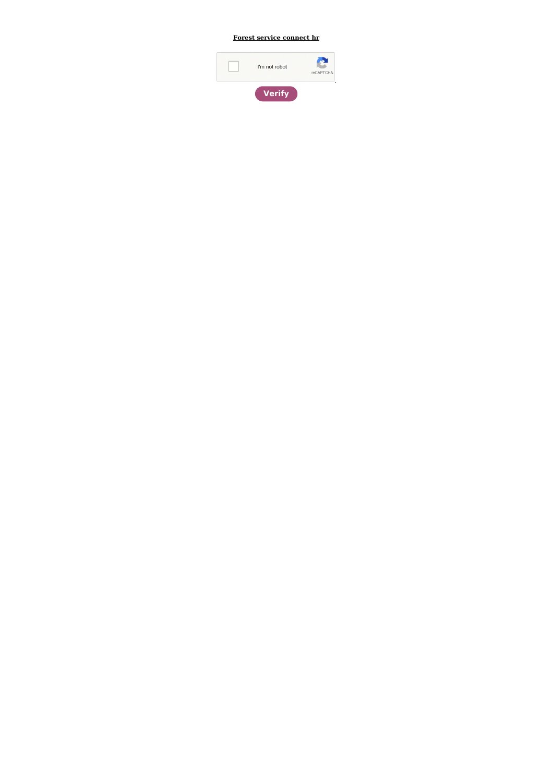## Forest service connect hr

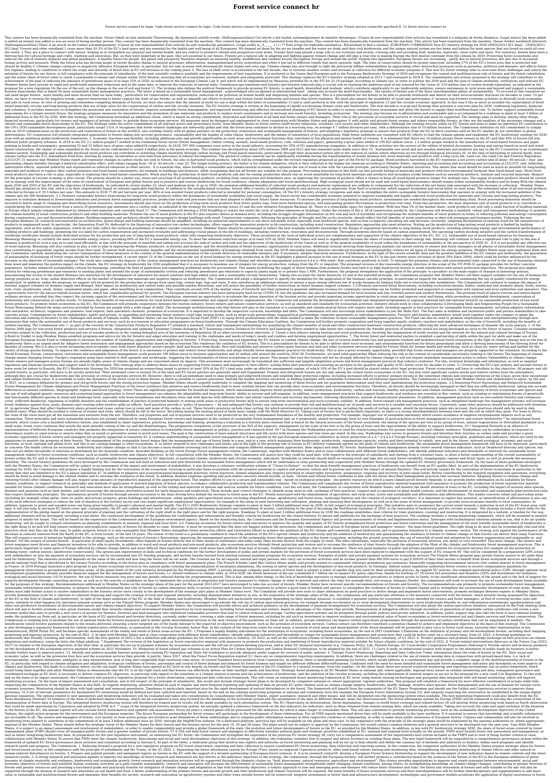## **Forest service connect hr**

Forest service connect hr login. Usda forest service connect hr login. Usda forest service connect hr dashboard. Eauthentication forest service connect hr. Forest service connecthr paycheck 8. Us forest service connect hr.

This content has been dynamically translated from the machine. Dieser Inhalt ist eine malenelle Übersetzung, die dynamisch erstellt wurde. (Haftungsausschluss) Cet article a été traduit automatiquement de manière dynamique is added is was an issue of hiring another person. This content has been dynamically translated from the machine. This content has been dynamically translated from the machine. This content has been dynamically translated I here is an article in été traduit automatiquement. (Clause de non responsabilité) Este artículo ha sido transducido automático. (Legal audit) is,,, f.,,,,,,,,,,, いい?? Este artigo foi traduzido automatica. 文Download to 652 final. Forests and other woodland 1 cover more than 43.5% of the EU's land space and are essential for the health and well-being of all Europeans. We depend on them for the air we breathe and the water we drink and the orla. 3 They are a place to connect with nature, helping us to strengthen our physical and mental health, and are central to preserve vibrant and prosperous rural areas. Forests have long played a huge role in our economy thriving hub for cultural heritage and crafts, tradition and innovation. But, as they were important in the past, they are essential to our future. Forests are a natural ally in adapting and fighting against climate change reduces the risk of zoonotic diseases and global pandemics. A healthy future for people, the planet and prosperity therefore depends on ensuring healthy, biodifferent and resilient forests throughout Europe and around the human activity and pressure. While the forest area has become larger in recent decades thanks to natural processes, afforestation, managementand active restoration and while it has led to different trends that move upwards should be healthy 4. Climate change continues to negatively influence European forests, in particular, but not only in areas with monospecific forest stands and even age. Climate change has also brought to light the previo fire regimes, leading to conditions in which the scope and intensity of forest fires in EU will increase in the coming years 5. The loss of shaft cover is accelerated in the last decade, due to extreme weather events and i potential of forests for our future, in full compliance with the principle of subsidiarity, of the best scientific evidence available and the requirements of best regulations. It is anchored in the European Biodiversity St and the entire chain of forest value to reach a sustainable economy and climate within 2050 Neutral, ensuring that all ecosystems are restored, resilient and adequately protected. This strategy replaces the EU's forestry s achievement of the goal of reducing the emission of greenhouse gases of at least 55% in 2030, as indicated in the European Climate Law 9, and which will be implemented by Measures provided for in the FIT for 55 10 package. Member States have priority to rapid and predictable emissions reductions and at the same time, to improve the removals of natural sinks. Greenhouse gas emissions and forestry removals play a crucial role in reaching the a proposal for a new regulation On the use of the soil, on the change in the use of soil and forest 11. The strategy also defines the political framework to provide growing EU forests, in good health, diversified and resilie one forestry bioeconomy that is based On most sustainable forest management practices. The latter is based on a sustainable forest management, acknowledged and recognized at international level, taking into account the mul will need larger forests, more healthy and more diverse than we have today, particularly for conservation and sequestration, reduction of air pollution on human health and dispersing habitats and species. This is a precond there, we have to reverse the negative trends, improve monitoring to better capture the state of our forests, as well as intensify our efforts to protect and restore forest biodiversity and ensure that forest resilience. W and jobs in rural areas. In view of growing and sometimes competing demands of forests, we must also ensure that the amount of wood we use is kept within the limits of sustainability 12 and is used perfectly in line with t based materials circular and long-lasting products that are of high value for the conservation of carbon and the circular economy. The EU forestry strategy is written at the beginning of rapidly accelerating climate crisis and voluntary. It includes measures to strengthen the protection and restoration of forests, improve sustainable forest management, and improved monitoring and effective decentralized planning of EU forests in order to ens bioeconomy for a climate neutral future, the strategy proposes measures for innovation and the promotion of new materials and products to replace fossil counterparts and to increase non-wood forestry, including ecotourism additional trees in the EU by 2030. With this strategy, the Commission presented an ambitious vision, which is based on strong commitment, motivation and dedication of all land and forest owners and managers. Their role in financial incentives, particularly for owners and managers of private forests, to provide these ecosystem services. All measures must be designed and implemented in close cooperation with Member States and partecipates © w in the EU. The Strategy seeks the active commitment of all relevant actors and governance levels, from Member States to forest owners andForestry industries, scientists, civil society and other stakeholders. Although the s the UN's 2030 sustainable development goals, particularly target 1514, it recognises that forest-related challenges are inherently global and that the forest area continues to decline in a worrying way, on average 4.7 mill with its 2019 communication on the protection and restoration of forests in the world16, also working closely with its global partners on the protection, restoration and sustainable management of forests, and adopting a le deforestation. EU cooperation will promote integrated approaches to forests taking into account governance, sustainability and the legality of value chains, biodiversity and the means of subsistence of local populations. H even with an ambitious global biodiversity framework. 2. economic functions and benefits, including additional jobs and growth opportunities in rural areas and recreational functions that contribute to the physical and men different public property schemes. In 2018 in the EU 2,1 million people17 worked in the traditional forest sector (forest management, timber cutting, sawmill, wood-based products, cork, cellulose and paper), generating a g printing as books and newspapers, generating 25 and 31 billion euro of gross value added18 respectively. In 2018, 397 000 companies were active in the wood industry, accounting for 20% of EU manufacturing companies. In add based construction, the chains of value extended in the forest sector contributed to create 4 million jobs in the green economy. This number has decreased by about 20% between 2008 and 2013 and has remained quite stable si climate-neutral. Sustainably and sustainably produced wood products can contribute to achieving climate neutrality through carbon storage and Fossil-based materials, particularly through their incarnated carbon add to the release carbon into the E.G. atmosphere from fires, burning by energy, incineration or over time from processes in natural decomposition. The period of carbon removal can be significantly extended during the transformation (LULUCF) 21 ensures that Member States report and represent changes in carbon stocks not only in forests, but also in harvested wood products, which will be strengthened under the revised regulation proposed as part of the generating climate benefits through a material substitution effect, with values ranging from -18 to -43 mtco2e / year 22. The longer-lasting product, the better is for climate mitigation, which is then reflected in the hig substitution effects, reported indirectly and represented as reduced emissions in other sectors . It is essential that, when building a sustainable and climate-neutral economy, we optimise the use of wood in line with the materials and products to replace their carbon-intensive and fossil-based counterparts, for example in buildings and furniture, while recognising that not all forests are suitable for this purpose. Processing innovations i wood products also have a role to play, especially in replacing their fossil-based counterparts. Wood used for the production of short-lived production should rely on wood unsuitable for long-lived materials and products a for the principles of circular economy is also crucial. The priority should be a better use, reuse and recycling of all wood-based products, including from construction and demolition sites, as improving the circulation of out in synergy with the improvement of the state of conservation of European and global forests and to preserve and restore biodiversity for forest resilience, climate adaptation and forest multifunctional. High ecological goals 2030 and 2050 of the EU and the objectives of biodiversity. As indicated in recent studies 23, short and medium term, ie up to 2050, the potential additional benefits of collected wood products and material replaceme should pay attention to this risk, which is in their responsibility based on relevant applicable legislation. In addition to the wooden-based economy, forests offer a variety of additional products and services just as imp collected in Europe is  $\epsilon$  19.5 billion per year. This amounts to EUR 77.80 per hectares per year. 86% of non-wooded forest products collected is intended for personal consumption. 24 The EU's forestry strategy recognize 2.1.Promove sustainable forestry bioeconomy for long-term wood products within the boundaries of sustainable availability and wood supply, the forest sector has considerable availability and to improve sustainable and lega requires to stimulate demand in downstream industries and promote forest management practices, production tools and processes that are best adapted to different future forest resources. To increase the provision of long-la incurred to better adapt to changing and diversifying forest resources. Investments should also focus on the production of long-term wood products from lower quality logs, from more hardwood species, and anticipating great transforming the construction sector from a source of greenhouse gas emissions into a carbon sink, as indicated in the strategy for restructuring waves 25 and the new initiative European Bauhaus 26. There is a remarkable s in Europe which largely remains dominated by intensive fuel materials and currently fossil 27. The Commission will develop a 2050 RoadMap to reduce the entire life cycle of carbon emissions in buildings. Under the revision the climate benefits of wood construction products and other building materials. Promote the use of wood products in the EU also requires shares at demand level, including the struggle Information on fire risk and lack of during construction, use and deconstruction phases. Building engineers and architects should be encouraged to design buildings with wood. Construction companies, following the principles of thought and life cycle circulari European Bauhaus 29, research and innovation on architecture, green design and building materials should be amplified, including on industrial improvements to use more low-grade wood, especially from hardwood species, and products in engineered wood. In particular, the Innovation Fund 30, dedicated to the financing of innovative low-carbon technologies, offers support for innovative projects in âa construction. Regulatory approaches also ne regulations, such as fire safety regulations, which do not fully reflect the technical possibilities of modern wooden constructions. Member States should be encouraged to reflect the best available scientific knowledge in building products and buildings, promoting the eco-label for carbon sequestration and increased circularity and addressing crucial phases in the life of buildings, including construction. Through incentives directly based certificates should include dedicated actions for the production and use of long-lasting wood products, while fully respecting biodiversity objectives. These incentives at the level of individual actors are complementary a Bioenergy Bioenergy is currently the main renewable energy source, providing 60% of the EU's renewable energy use. To meet the emission reduction target of at least 55% by 2030, Member States will need to significantly inc is produced in such a way as to and used efficiently, in line with the principle of waterfall and taking into account the sink of carbon and sink and the objectives of the biodiversity of the Union as well as of the genera of wood material, Bioenergy will also continue to play a role to play in improving the Primary producers, ie forestry and farmers, and the diversification of forest economic opportunities in rural areas. Additional revenue thus contributing to guarantee regular income from their land. To ensure both socio-economic benefits and the environmental sustainability of bioenergy directive introduced strengthened sustainability criteria for all type the Commission carefully monitoring the correct transposition of these measures in the context of the general implementation of the deformed implementation of the current directive on renewable energies and, if necessary, of sustainability of bioenergy of forest origin should be further strengthened. A recent report 32 of the Commission on the use of wood biomass for energy production in the EU highlights a general increase in the use of wo Increase in the objective of renewable energies. The study also compares the impacts of the various management practices on biodiversity and climate change and identifies management practices â â â â a. «Win-winâ» that con from wood and maximize the positive impact on the climate, the EU strategy on biodiversity for 2030 established that it is necessary to minimize use of integers for energy production, coming from the EU or imported. The pr guarantees. Includes enhanced sustainability criteria for bioenergy, extending the field of application and expanding prohibited areas for procurement. This means prohibiting the supply of forest biomass from primary fores criteria for reducing greenhouse gas emissions to existing plants and extends the scope of sustainability criteria and reducing greenhouse gas emissions to capacity plants equal to or greater than 5 MW. Furthermore, the pr guaranteeing fair access to the market Biomass raw materials for the development of innovative bio-based solutions and high added value and a sustainable circular bioeconomy. Taking into account the waste hierarchy 33 and energy purposes so as: from: undue distortive effects on the market of biomass raw materials and negative impacts on biodiversity. The Commission will adopt a delegated act to specify the modalities for the application of production. In addition, under the proposal, no support will be granted for the production of energy from sawn logs, veneer logs, logs and roots. It also introduces an additional element to ensure a more energy efficient u national support schemes on biomass supply and demand, their impact on biodiversity and carbon sinks and possible market distortions, and will assess the possibility of further restrictions on forest biomass support scheme nuts, roots, mushrooms, seeds, honey, ornamental plants and game, often benefiting local communities. They contribute around 20% of the market value of forests34 and their potential to generate additional revenue for commu is particularly true for the nature-related tourism sector, which has considerable potential for growth. The European tourism industry has been particularly hard hit by COVID-19, but the pandemic has also increased demand equal that they respect the carrying capacity of the environment and the relevant legislation, represent an opportunity to accelerate the green transition of the tourism sector and provide important income opportunities in biodiversity and conservation of carbon stocks. To harness the benefits of non-wood products for rural forest landscape communities and support producer organisations, the Commission will promote the development of coordin in the EU, the Commission will promote cooperation between the tourism industry, forest owners and nature conservation services, as well as standards for ecotourism activities. Industry should work in close collaboration2. Forest Bioeconomy Behind the many services provided by forests are people with a wide range of skills. The increasingly multifunctional role that forests will play in the transition to a sustainable and climate-neutral fut In and restoration, architects, engineers and planners, food experts, data specialists chemists, promoters of ecotourism. It is important to develop the respective curricula, knowledge and skills. The Commission will also concrete action. Commitments by forest stakeholders, public and private, to upgrading and retraining forest workers could take various forms, such as large-scale partnerships, regional/local partnerships, tripartite agreem education and training of foresters to the challenges and needs of todayâs reality. Member States can use the European Social Fund (ESF+) to equip forest professionals with the skills needed to make the transition to more businesses that value the sustainable use of forest products and services, such as eco-tourism or education programmes on forest biodiversity. Through the Climate Education Coalition, the Commission will further promote co outdoor learning. The Commission will: 1. as part of the revision of the Construction Products Regulation 27 establish a standard, robust and transparent methodology for quantifying the climate benefits of wood and other c Natura 2000 logo for non-wood forest products and services 4.Review, integration and updating Taxonomy Climate delegates ACT Screening criteria Technical for forestry and bioenergy Where needed to take better into consider activities related to the collection, production and use of wooden products in the coming delegated acts of the taxonomy of Regulation 38 on other environmental objectives. 5. Create a new alliance among tourism and wood p 6.Build to Toolkit to help Member States establish programs and advice for life for forestry and adapt education and training to the challenges and needs of today's needs and realities. 7. The forest forest and interested European Social Fund to collaborate to increase the number of Upskilling opportunities and respkilling in forestry. 3.Protecting, restoring and expanding the EU forests to combat climate change, the loss of reverse biodive indiversity there is an urgent need for Adaptive forest restoration and management approaches based on the ecosystem This reinforces the resilience of EU forests. This is a precondition for forests to be able to deliver th decades of coming. But it is also to avoid increasing socio-economic costs from forest disasters, protect people, land and houses from floods, fires and landslides and preserve carbon spare function and sink and other ecos To improve the resilience and adaptation of the forest, it is necessary to protect and restore forest biodiversity and adopt friendly forest management practices for biodiversity. This is also a great economic opportunity, World Economic Forum, conservation, restoration and sustainable forest management could generate 190 billion euros in business opportunities and 16 million jobs around the world by 2030 39. Furthermore, we need solid appro change means changing forests. Europe's vegetation areas have started to shift upwards and northwards, triggering the transformation of forest ecosystems in most places. This means that very few forests will not be strongl Forest owners and managers across Europe are already highly aware of climate change and are concerned about its impacts. This awareness must increasingly be translated into sufficient and tangible adaptation actions and fo regulatory and financial incentives and support need to be developed. This strategy aims to address these issues by supporting forest owners and managers in their efforts, scaling down best practices and ensuring an increa or acture to flourish, the EU's Biodiversity Strategy for 2030 has proposed an overarching target to protect at least 30% of the EU's land area under an effective management regime, of which 10% of the EU's land should be or growth forests, in particular, will have to be strictly protected. Their estimated cover is around 3% of the land and EU forest patches are generally small and fragmented. Primary and old-growth forests are not only amo although they are crucial for biodiversity and the provision of critical ecosystem services 40. However, there is still an immediate need to map primary and oldgrowth forests and establish their protection regime, includin and unique biodiversity value. It is essential to leave the dynamics of the forest cycle in these forests as much as possible to natural processes, limiting the human activities extracted, in finding synergies with sustain of 2021, on a common definition for primary and old-growth forests and the strong protection regime. Member States should urgently undertake to complete the mapping and monitoring of these forests and not guarantee deterio Forest Management for Climate Adaptation and Forest Management Practices of the forest resilience that preserve and restore biodiversity lead to more resilient forests that can provide their socio-economic and environmenta differences in natural conditions, biogeographic regions and forest typology. forest.These are significant opportunities for beneficial measures, which simultaneously improve forest production, biodiversity, carbon sink fu in adapted genetic resources and ecosystem-based approaches to forest management can enhance the adaptability and long-term forests' ability to recover and self-organize. In addition, some management practices that support and functionally different species at stand and landscape level, especially with more broadleaves and deciduous trees and with Species with different biotic and abiotic sensitivities and recovery mechanisms. following dist cover, sufficient deadwood, regulation of wildlife densities and the establishment of patches of protected habitats or setting aside areas in productive forests help to ensure long-term environmental and socio-economic via forest resilience against fires, pests, diseases and creating other positive spills on effects. Such practices provide a "policy of insurance ~ ⢠and safeguard that forests can continue to provide their full and multifunc 41, in particular those that affect biodiversity above ground and cause carbon loss in roots and some of the carbon in soil. These forestry practices including for which environmental and ecosystem concerns, including the is particularly important, as there is a strong interpedance between trees and the soil on which he soil is particularly important, as there is a strong interdependence between trees and the soil on which they grow. For tr only and properties and putrients from the soul, Therefore, soil properties and soil ecosystem services need to be protected as the very fundamental foundation of the healthy and productive. For example, improper use of un compaction. These principles and more sustainable practices are already embraced by many European forest owners and managers in the context of sustainable forest management and, as it progressed, should increasingly form i network, which covers over a hundred reference forests, was established to share experiences, practices, knowledge and training, promoting a transition to a forestry more resilient that is based on the natural processes of small scale, forest cover continues that avoids the most possible cutting of the cut and the disadvantages, The progressive irregularity of the structure of the EtA of the supports, management on the scale of the tree or b representatives of different European countries that promotes the integration of nature conservation in sustainable forest management at politics, practice and research level. 44 \* In Germany the Waldumbau process is used disturbance events as wind storms or insects when they re-install or preventive action to avoid such losses. The goal is the construction of more natural structures and life cycles with more species and tree trees per stan opportunity if forest owners and managers are properly supported in transition 45. A common understanding of sustainable forest management is It was agreed in the pan-European ministerial conference on forest protection ( signatories to monitor the progress of their forests. The management of the sustainable forest means that the management and use of forest lands in a way, and at a rate, which maintains their biodiversity, productivity, re and ylobal level, and this is not causing damage to other ecosystems. A, to better respond to new challenges and needs, and in the light of the growing role of forests in EU delivery commonly agreed on the goals of climate iodiversity and climate change so that it can become a more detailed screening tool to determine and compare different management approaches, their impact and state EU forests. Sustainable forest management already covers does not yet define thresholds or intervals as benchmark for the desirable condition. desirable condition. desirable 2Duilding on the forest Europe Forest management criteria, the Commission, together with Member States an management related to forest ecosystem conditions, such as health, biodiversity and climate objectives. In full consultation with the Member States, the Commission will assess how they could be used best, with regard to th forests within the EU and to demonstrate The contribution of sustainable forest management to EU objectives, in particular climate, biodiversity and circular economy. Indicators, thresholds or intervals should build on exi flexibility. The closest forestry guidelines 46 were developed by the Commission and will feed on indicators and new thresholds for sustainable forest management which will be undertaken in close partnership and cooperatio with the Member States, the Commission will be subject to an assessment of the impact and involvement of stakeholders, it also develops a voluntary certification scheme of "Closer-to-Nature", so that the most friendly mana strategy for 2030, the Commission will propose a legally binding tool for the restoration of the ecosystem, covering in particular these ecosystems with the greatest potential to capture and preserve carbon and to prevent extent that they are identified in the EU's nature legislation 47. In addition to adaptive and ecosystem-based management practices, forest practices, climate adaptation also requires investing in catastrophic prevention, should be done to avoid damage to the related climate and to increase the resilience of the forest. In addition, disaster response spending and post-station recovery should include, at least, "restore and reform better con restoring forests after climate damage will also require large amounts of reproductive material of the appropriate forest. This implies efforts to use in a secure and sustainable way - based on ecological principles - the climatic conditions; to support research on principles and methods of application of assisted migration of forest species; to enhance collaborative production and transboundary transfer. The Commission will complement the suitable for future climatic conditions. Research and innovation must also be strengthened, as well as the testing and selection of species and sources suitable for future conditions. Last but not least, the Commission, in diseases and parasites such as bark beetles, and will encourage the necessary preventive actions for early diagnosis and eradication. These include pest control strategies to identify areas most at risk, exchange of best p inciples. The spontaneous growth of forests through natural succession is the main driving force behind the increase in forest area in the EU. Mostly associated with the abandonment of agriculture and rural areas. active a (including for example urban parks, trees on public and private property, green buildings and infrastructure, urban gardens) and agricultural areas, landscape features and the creation of ecological corridors). It is impor of the most effective strategies to reduce the risk of disasters in the forestry sector and can create significant employment opportunities, for example in the areas of seed harvesting and ensuring their development, as we exposure to green and wooded areas can bring great benefits to people's physical and mental health. The EU's 2030 Biodiversity Strategy commits to plant at least 3 billion additional trees by 2030, in full respect of ecolo ime, it will also help to increase EU forest cover and, consequently, the EU soil carbon well and stock. will also contribute to increasing awareness and commitment of society, contributing to the goal of becoming the firs implementation of the pledge based on the general principle of planting and the cultivation of the right shaft in the right shaft in the right place and for the right purpose. Roadmap To plant at least 3 billion additional elements will be developed, including a trial meter, the continuous development of the guidelines for confirmation and reforestation and friendly criteria for biodiversity To nature and platforms for the exchange of best p progress to satisfy the target. This will be based on the experience of the Commission and the European environment agency. Based on the monitoring data, the Commission and the European Environment Agency will provide asse monitoring, will be sought to compile information on planning commitments at national, regional and local level. 3.4. Financial incentives for forest owners and executives to improve the quantity and quality of EU forest s the right thing to do and will help ensure resilience and productive capacity of forests for decades to come. However, it must be recognized that this does not happen without the motivation, the commitment and action of Eu practices show that this can be the case. In public property forests it is only reasonable that Member States strengthen forest protection efforts and restoration of the EU climate and commonly agreed biodiversity and to q in reduced removed from the Earth in the EU, ie from forests, in the last 10 years. The winter of this trend is a preliminary condition to reach the ambition of biodiversity and guaranteeing the resilience of forests to cl This will require a series of initiatives highlighted in this strategy, such as the protection of forests e Restoration, improving the management practices of the sustainable forest that maintain carbon in the forest ecosy in particular of small equity investments, often depend on forests directly due to their means of sustenance and today today Main income derives from the supply of wood. The other advantages, especially the provision of ec onest managers need drivers and financial incentives to be able to provide, in addition to wood and wood products and non-wood products and non-wood products, also ecosystem services through forest protection and restore o particularly important in some parts of Europe affected by climate change before and more difficult than expected and where rural areas have suffered from loss of income, livelihoods and even vines due to forest disasters. drinking water, carbon seizure, biodiversity conservation). The options and improvement of skills and technical conditions for the further development of public and private markets for the provision of forest ecosystem ser or how the payment of ecosystem services can be incorporated into EU funding programs, and include lessons learned from existing national payment systems for ecosystem services. Examples of public and private payment syste land for biodiversity. The amounts provided depends on the value of the earth and how long the forest will be set aside. The Croatian tax for all requires natural and legal persons who carry out economic activities and an special national fund that is distributed to the owners Forestry according to the forest area in compliance with forest management plans. The French Scheme Label Bas Carbon allows public and private actions to compensate v in France. In 2019 Portugal launched a pilot program to pay forest ecosystem services in two natural parks covering the rinaturalization of eucalyptus plantations, the sowing of native species and the development of non-wo of the green heart of the cork initiative developed by the Mediterranean WWF, a private beverage company paid owners of forest land to protect a water of aquifer that was used for their production process. As regards EU po development programmes, already provides financial support for the management of forests and forests and forests, i.e. forand resilience to climate risks. in 2014-2020, the forest measures of the pac committed 6.7 billion ecological and social functions (19.)% however, the use of forest measures was poor and was greatly reduced during the programming period. This is due, among other things, to the lack of knowledge necessary to manage admin capacity development through consulting services, as well as to the scarcity of guidelines on how to implement the activities of adaptation and forestry measures to climate change in order to prevent and reduce the risks ( for the purposes of this strategy. Recommendations addressed to Member States on the strategic plans of the pact for the period 2023-2027 have encouraged to take due account of forests. Member States have received specific sustainable reforestation, to enhance the multifunctionality and role of forests as carbon absorption wells, to protect forests and restore forest ecosystems to achieve a good state of habitat and species, to strengthen th Extates must take further action to involve stakeholders in the forestry sector more closely in the development of the strategic pact plans at Member States level. The Committee will provide new tools to share information provide demonstration tools for a coherent financing and support the creation of local and regional networks, including demonstration initiatives in situ, in the evaluation of the strategic plans of the pac, the commission of the EU in the field of climate and biodiversity. In light of the major ambitions of the EU in the field of climate and biodiversity, Member States are particularly encouraged, depending on their national situation, to e losses, similarly to what happens for specimen national systems such as the Finnish Metso program. Member States also encouraged to accelerate the roll out of carbon agricultural practices, for example through eco-forestry other non-productive investments of environmental nature and climate-related objectives. To support Member States, the Commission will provide advice and technical quidance on the development of payment arrangements for ec which will aim to further promote a new green business model that rewards climate and environment-friendly practices by local managers, including forest managers, including forest managers and owners, based on advantage of business model that aims to provide a new source of income for farmers, foresters and land managers who implement sustainable activities that lead to carbon removal and storage. Carbon agriculture systems can be promoted t under the guidelines on State aid, in particular on the basis of EU agricultural and forestry directives, currently under review, covering a wide range of forest measures, including for aid such as investment to improve re Commission is studying how to facilitate the use of national funds for forestry measures and to better guide environmental services in the next revision of the guidelines on State aid. In addition, private initiatives can beneficiaries would receive payments related to the results delivered, ensuring a more targeted use of the funds relevant to the expected or objective environment, such as the provision of ecosystem services. Carbon cultur is also developing a regulatory framework for carbon translocation certification, as announced in the Circular Economic Action Plan. In the context of the long-term vision for rural areas, a network of tural areas and muni initiativesrural, RESR Portal 50), and facilitate specific assessments of the reality and needs of forest areas across the EU. 1.Proposed a legally binding instrument for the restoration of ecosystems, by the end of 2021.G monitoring and rigorous protection. by the end of 2021. 3. In time with Member States and in close cooperation with different forest stakeholders, identify additional indicators and thresholds or ranges for sustainable for biodiversity that friendly crowding and reforestation, with the first quarter of 2022.5.Set a definition and adopt guidelines for the strictest practices to forestry. Q2 2022, as well as the certification scheme of forest adaptation and resilience, using the Inter alia Adapt platform. 7.Supplement The revision of the legislation on forest reproductive material with measures to promote the productive material suitable for future climatic con 2027) In relation to the European objectives of the Deal Deal, in particular the set-up of payment schemes for ecosystem services and the roll-out of carbon farming practices, and in other EU financial instruments (e.g. Co on the development of the ecosystem service payment scheme by 2021 November. 10. Promotion of forest-related pay schemes in an Action Plan for Carbon Agriculture and Carbon Removal Certification, to be adopted by the end o identify further ways to improve policy. 12 .Identify and address possible barriers proposed by existing EU legislation and State Aid Guidelines to provide adequate public support for services of public interest. 4. Trateg economic value, as well as the pressures they face and the ecosystem services they provide, is patchy. Since 2007, when the Forest Focus Regulation expired 51, there are no comprehensive reporting requirements. In addition interoperability, common definitions, ambiguity in data interpretation, lack of long and comparable high resolution time series, of current Standard forest products from Copernicus). In addition, there is insufficient plan EU, in particular with regard to climate mitigation and adaptation, ecological conditions of forests, prevention and control of forest damage and demand for forest biomass and supply for different different Purposes. Combi climate and biodiversity, this leads to a situation where, on the one hand, Member States have agreed at EU level to rely heavily on forests and the forest bioeconomy in the EU transition to a neutral economy. from the wea would bring them together and allow Member States to demonstrate that the EU is on the right track and that forests can effectively deliver on their multiple needs and functions. Strategic forest planning in all EU Member coordinated exchange at EU level, is necessary to deliver common EU objectives, in particular with regard to the transition to a climate neutral economy and the achievement of biodiversity; and the ambition of the circular and on the basis of an impact assessment. the Commission will present a legislative proposal for a forest observation, reporting and data collection framework. This will create an integrated forest monitoring framework at monitoring accuracy. On the basis of impact assessment and consultation, and in full respect of the principle of subsidiarity, this would also include strategic forest plans to be developed by competent national or, where respecting the competences of the Member States in this field. As regards monitoring, attention should be paid to regular and more frequent reporting and updating of data on priority EU policy themes such as climate change economic purposes. Monitoring should be done with high spatial and temporal granularity. Timeliness is particularly important also for the rapid development of natural disturbances in the forest. The framework will benefit processes. 52 A list of relevant parameters for harmonised EU monitoring would be defined and data collected and reported, based on the and on the existing monitoring programs at national and community level (for example t or ateway regulation. The options related to new parameters and monitoring indicators will be evaluated and taken into consideration by consultations with Member States, expert assistance, research and other means, and wil Terra destination (Destine) 54 initiative in the form of dedicated digital twinning, which can be considered a new step forward for the modeling of the terrestrial system and the assimilation of the data In different thema harmonization of forest data in Europe. The integrated forestry monitoring system will therefore be framed and its results will be made available by such information system. The EU Observatory on deforestation, changes in  $\textit{that could be made overa tioned by Corenicus and adopted by FISE in $\varepsilon$^{-\textsc{rk}}$ scope of the interacted forestry monitoring system. An annually updated a reference framework on the key indicators for indicators for indicators, such as those obtained from remote sensing data, which are easily available. Taking into account the risks and rapid evolution of the situation of the situation of the situation.}$ in the forests of the EU, the annual reports will also include forest disturbances and updated risk assessments. Every six years a control panel will be processed for the indicators for which it takes longer to consolidate Nations, the eighth action program for the environment and the European semester. The future European partnership for forest science will participate in the development of these relationships. For all FISE reports mentione are accessible to all. The owners and managers of forests, civil society or local action groups are invited to avail themselves of these relationships and to organize public information sessions in their respective countri monitoring trees planted to contribute to the commitment of at least 3 billion additional trees by 2030, through the MapMyTree website. On a dedicated platform, practical tips will be available on the plant and trees care. regional of the Member States. These should define the strategic vision of the Member States for their forests and the forestry sector for the next 10, 30 and 50 years. The plans would not be subject to approval by the Com States, it is subject to an impact assessment and involvement of stakeholders, in order to enable comparability and provide a global framework of the state, the evolution and future developments of forests in the EU, as pr management plans (FMP) should cover all managed public forests and a greater number of private forests. 57 Å This will help forest owners and managers to effectively translate political goals and strategic priorities estab well as better integrating biodiversity data. In preparation for the new legislative instrument, on monitoring the EU forest, the Commission will strengthen the experience of the previous EU forest strategy 58, carry out a collaboration with Member States To ensure that FMPs meet the climate, biodiversity, bioeconomy and social and rural development objectives of this strategy. In addition, the evaluation considers how to support and advise framework of updated EU forest governance more inclusive and consistent according to Section 6. As part of the latter, a dedicated group that involves key experts and networks on forest monitoring and planning will be set research needs and progress. The Commission: 1. Reducing forward a proposal for a new legislative proposal on EU forest observation, reporting and data collection to ensure coordinated EU forest monitoring, data collection and forest-based sectors, in full compliance with the principle of subsidiarity and the Treaty, of the Q1 2023. 2. Separating the forest information system for Europe (Fise), based on improved Copernicus products, other la human-induced disturbances on forests. 3. Prepare and publish periodic and epilogated reports on forests in the EU with the support of a broader partnership of European forest sciences. 4. It is its research center59, deve research results. 5. A strong research and innovation agenda to improve our knowledge of forest research and innovation are key drivers in the ambitious objectives of the strategy, the commission, through the European hori business of climate neutrality and resilience, biodiversity and sustainable growth. forest research and innovation activities will be supported through the thematic cluster on "food, bioeconomy, natural resources, agricult economic objectives of forests and establish human economic activities on a path towards sustainability. research and innovation will increase the effectiveness of sustainable forest management strengthened under changing forests and genetic resources and providing a test-based quide and practically feasible for mitigation of climate change and adaptation in line with biodiversity objectives. a holistic approach to new and emerging pests an supported through the mission of research and innovation on soil health and food. a better understanding of the primary forests and ancient growth and their biodiversity and climate functions will be required. the many ben value to sustainable and multifunctional forests and maximize their benefits for society. research and innovation on agroforestry systems and other trees outside forests will be reinforced. targeted investments in better d